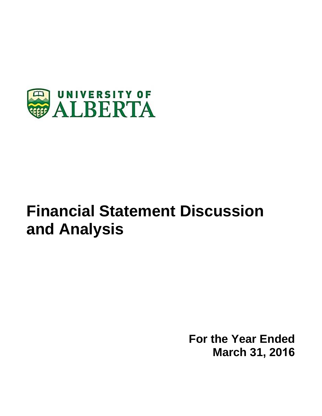

# **Financial Statement Discussion and Analysis**

**For the Year Ended March 31, 2016**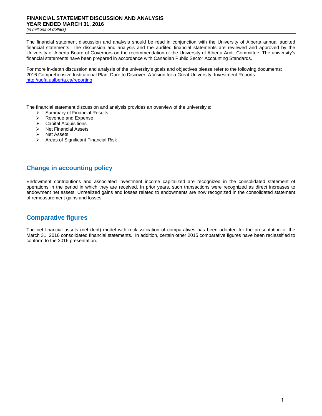### **FINANCIAL STATEMENT DISCUSSION AND ANALYSIS YEAR ENDED MARCH 31, 2016**

*(in millions of dollars)* 

The financial statement discussion and analysis should be read in conjunction with the University of Alberta annual audited financial statements. The discussion and analysis and the audited financial statements are reviewed and approved by the University of Alberta Board of Governors on the recommendation of the University of Alberta Audit Committee. The university's financial statements have been prepared in accordance with Canadian Public Sector Accounting Standards.

For more in-depth discussion and analysis of the university's goals and objectives please refer to the following documents: 2016 Comprehensive Institutional Plan, Dare to Discover: A Vision for a Great University, Investment Reports. http://uofa.ualberta.ca/reporting

The financial statement discussion and analysis provides an overview of the university's:<br>  $\triangleright$  Summary of Financial Results

- $\geq$  Summary of Financial Results<br>  $\geq$  Revenue and Expense
- Revenue and Expense
- Capital Acquisitions
- $\triangleright$  Net Financial Assets
- $\triangleright$  Net Assets
- $\triangleright$  Areas of Significant Financial Risk

## **Change in accounting policy**

Endowment contributions and associated investment income capitalized are recognized in the consolidated statement of operations in the period in which they are received. In prior years, such transactions were recognized as direct increases to endowment net assets. Unrealized gains and losses related to endowments are now recognized in the consolidated statement of remeasurement gains and losses.

## **Comparative figures**

The net financial assets (net debt) model with reclassification of comparatives has been adopted for the presentation of the March 31, 2016 consolidated financial statements. In addition, certain other 2015 comparative figures have been reclassified to conform to the 2016 presentation.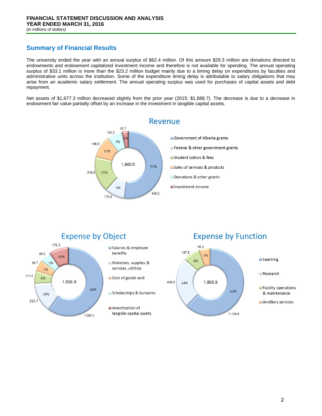# **Summary of Financial Results**

The university ended the year with an annual surplus of \$62.4 million. Of this amount \$29.3 million are donations directed to endowments and endowment capitalized investment income and therefore is not available for spending. The annual operating surplus of \$33.1 million is more than the \$23.2 million budget mainly due to a timing delay on expenditures by faculties and administrative units across the institution. Some of the expenditure timing delay is attributable to salary obligations that may arise from an academic salary settlement. The annual operating surplus was used for purchases of capital assets and debt repayment.

Net assets of \$1,677.3 million decreased slightly from the prior year (2015: \$1,688.7). The decrease is due to a decrease in endowment fair value partially offset by an increase in the investment in tangible capital assets.





#### **Expense by Function** 96.5 147.3 5% **Elearning** 8% Research 1.806.9 438.6 24% Facility operations 63% & maintenance Ancillary services

1,124.5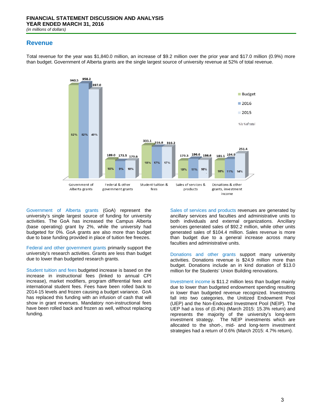#### **Revenue**



Total revenue for the year was \$1,840.0 million, an increase of \$9.2 million over the prior year and \$17.0 million (0.9%) more than budget. Government of Alberta grants are the single largest source of university revenue at 52% of total revenue.

Government of Alberta grants (GoA) represent the university's single largest source of funding for university activities. The GoA has increased the Campus Alberta (base operating) grant by 2%, while the university had budgeted for 0%. GoA grants are also more than budget due to base funding provided in place of tuition fee freezes.

Federal and other government grants primarily support the university's research activities. Grants are less than budget due to lower than budgeted research grants.

Student tuition and fees budgeted increase is based on the increase in instructional fees (linked to annual CPI increase), market modifiers, program differential fees and international student fees. Fees have been rolled back to 2014-15 levels and frozen causing a budget variance. GoA has replaced this funding with an infusion of cash that will show in grant revenues. Mandatory non-instructional fees have been rolled back and frozen as well, without replacing funding.

Sales of services and products revenues are generated by ancillary services and faculties and administrative units to both individuals and external organizations. Ancillary services generated sales of \$92.2 million, while other units generated sales of \$104.4 million. Sales revenue is more than budget due to a general increase across many faculties and administrative units.

Donations and other grants support many university activities. Donations revenue is \$24.9 million more than budget. Donations include an in kind donation of \$13.0 million for the Students' Union Building renovations.

Investment income is \$11.2 million less than budget mainly due to lower than budgeted endowment spending resulting in lower than budgeted revenue recognized. Investments fall into two categories, the Unitized Endowment Pool (UEP) and the Non-Endowed Investment Pool (NEIP). The UEP had a loss of (0.4%) (March 2015: 15.3% return) and represents the majority of the university's long-term investment strategy. The NEIP investments which are allocated to the short-, mid- and long-term investment strategies had a return of 0.6% (March 2015: 4.7% return).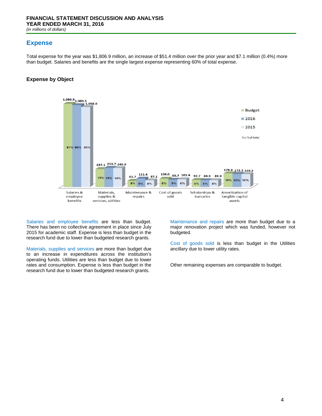## **Expense**

Total expense for the year was \$1,806.9 million, an increase of \$51.4 million over the prior year and \$7.1 million (0.4%) more than budget. Salaries and benefits are the single largest expense representing 60% of total expense.

#### **Expense by Object**



Salaries and employee benefits are less than budget. There has been no collective agreement in place since July 2015 for academic staff. Expense is less than budget in the research fund due to lower than budgeted research grants.

Materials, supplies and services are more than budget due to an increase in expenditures across the institution's operating funds. Utilities are less than budget due to lower rates and consumption. Expense is less than budget in the research fund due to lower than budgeted research grants.

Maintenance and repairs are more than budget due to a major renovation project which was funded, however not budgeted.

Cost of goods sold is less than budget in the Utilities ancillary due to lower utility rates.

Other remaining expenses are comparable to budget.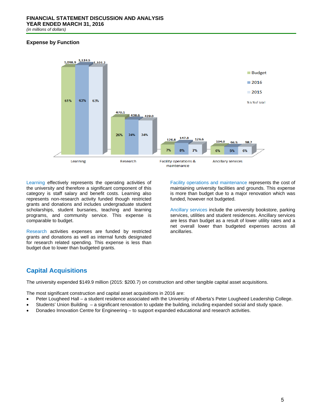#### **Expense by Function**



Learning effectively represents the operating activities of the university and therefore a significant component of this category is staff salary and benefit costs. Learning also represents non-research activity funded though restricted grants and donations and includes undergraduate student scholarships, student bursaries, teaching and learning programs, and community service. This expense is comparable to budget.

Research activities expenses are funded by restricted grants and donations as well as internal funds designated for research related spending. This expense is less than budget due to lower than budgeted grants.

Facility operations and maintenance represents the cost of maintaining university facilities and grounds. This expense is more than budget due to a major renovation which was funded, however not budgeted.

Ancillary services include the university bookstore, parking services, utilities and student residences. Ancillary services are less than budget as a result of lower utility rates and a net overall lower than budgeted expenses across all ancillaries.

## **Capital Acquisitions**

The university expended \$149.9 million (2015: \$200.7) on construction and other tangible capital asset acquisitions.

The most significant construction and capital asset acquisitions in 2016 are:

- Peter Lougheed Hall a student residence associated with the University of Alberta's Peter Lougheed Leadership College.
- Students' Union Building a significant renovation to update the building, including expanded social and study space.
- Donadeo Innovation Centre for Engineering to support expanded educational and research activities.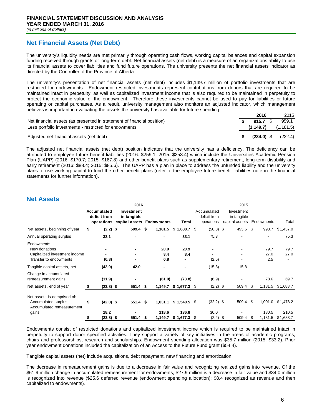## **Net Financial Assets (Net Debt)**

The university's liquidity needs are met primarily through operating cash flows, working capital balances and capital expansion funding received through grants or long-term debt. Net financial assets (net debt) is a measure of an organizations ability to use its financial assets to cover liabilities and fund future operations. The university presents the net financial assets indicator as directed by the Controller of the Province of Alberta.

The university's presentation of net financial assets (net debt) includes \$1,149.7 million of portfolio investments that are restricted for endowments. Endowment restricted investments represent contributions from donors that are required to be maintained intact in perpetuity, as well as capitalized investment income that is also required to be maintained in perpetuity to protect the economic value of the endowment. Therefore these investments cannot be used to pay for liabilities or future operating or capital purchases. As a result, university management also monitors an adjusted indicator, which management believes is important in evaluating the assets the university has available for future spending.

|                                                                        | 2016         | 2015       |
|------------------------------------------------------------------------|--------------|------------|
| Net financial assets (as presented in statement of financial position) | 915.7 S      | 959.1      |
| Less portfolio investments - restricted for endowments                 | (1.149.7)    | (1, 181.5) |
| Adjusted net financial assets (net debt)                               | $(234.0)$ \$ | (222.4)    |

The adjusted net financial assets (net debt) position indicates that the university has a deficiency. The deficiency can be attributed to employee future benefit liabilities (2016: \$259.1; 2015: \$253.4) which include the Universities Academic Pension Plan (UAPP) (2016: \$170.7; 2015: \$167.8) and other benefit plans such as supplementary retirement, long-term disability and early retirement (2016: \$88.4; 2015: \$85.6). The UAPP has a plan in place to address the unfunded liability and the university plans to use working capital to fund the other benefit plans (refer to the employee future benefit liabilities note in the financial statements for further information).

## **Net Assets**

|                                                                                        | 2016 |                                           |  |                                                        |    |                    |               |   | 2015                                      |     |                                             |     |                          |              |
|----------------------------------------------------------------------------------------|------|-------------------------------------------|--|--------------------------------------------------------|----|--------------------|---------------|---|-------------------------------------------|-----|---------------------------------------------|-----|--------------------------|--------------|
|                                                                                        |      | Accumulated<br>deficit from<br>operations |  | Investment<br>in tangible<br>capital assets Endowments |    |                    | Total         |   | Accumulated<br>deficit from<br>operations |     | Investment<br>in tangible<br>capital assets |     | Endowments               | Total        |
| Net assets, beginning of year                                                          | \$   | $(2.2)$ \$                                |  | 509.4                                                  | \$ | 1,181.5            | $$1,688.7$ \$ |   | $(50.3)$ \$                               |     | 493.6 \$                                    |     | 993.7                    | \$1,437.0    |
| Annual operating surplus                                                               |      | 33.1                                      |  |                                                        |    | $\blacksquare$     | 33.1          |   | 75.3                                      |     |                                             |     | $\overline{\phantom{a}}$ | 75.3         |
| Endowments<br>New donations<br>Capitalized investment income<br>Transfer to endowments |      | (0.8)                                     |  | $\blacksquare$<br>$\blacksquare$                       |    | 20.9<br>8.4<br>0.8 | 20.9<br>8.4   |   | (2.5)                                     |     |                                             |     | 79.7<br>27.0<br>2.5      | 79.7<br>27.0 |
| Tangible capital assets, net                                                           |      | (42.0)                                    |  | 42.0                                                   |    | $\blacksquare$     |               |   | (15.8)                                    |     | 15.8                                        |     | $\blacksquare$           |              |
| Change in accumulated<br>remeasurement gains                                           |      | (11.9)                                    |  |                                                        |    | (61.9)             | (73.8)        |   | (8.9)                                     |     |                                             |     | 78.6                     | 69.7         |
| Net assets, end of year                                                                | S.   | $(23.8)$ \$                               |  | 551.4                                                  | \$ | 1,149.7            | $$1,677.3$ \$ |   | $(2.2)$ \$                                |     | 509.4                                       | \$  | 1,181.5                  | \$1,688.7    |
| Net assets is comprised of:<br>Accumulated surplus<br>Accumulated remeasurement        | \$   | $(42.0)$ \$                               |  | $551.4$ \$                                             |    | 1,031.1            | $$1,540.5$ \$ |   | $(32.2)$ \$                               |     | 509.4 \$                                    |     | 1,001.0                  | \$1,478.2    |
| gains                                                                                  |      | 18.2                                      |  |                                                        |    | 118.6              | 136.8         |   | 30.0                                      |     |                                             |     | 180.5                    | 210.5        |
|                                                                                        |      | $(23.8)$ \$                               |  | 551.4                                                  | \$ | 1,149.7            | \$1,677.3     | S | (2.2)                                     | -\$ | 509.4                                       | \$. | 1,181.5                  | \$1,688.7    |

Endowments consist of restricted donations and capitalized investment income which is required to be maintained intact in perpetuity to support donor specified activities. They support a variety of key initiatives in the areas of academic programs, chairs and professorships, research and scholarships. Endowment spending allocation was \$35.7 million (2015: \$33.2). Prior year endowment donations included the capitalization of an Access to the Future Fund grant (\$54.4).

Tangible capital assets (net) include acquisitions, debt repayment, new financing and amortization.

The decrease in remeasurement gains is due to a decrease in fair value and recognizing realized gains into revenue. Of the \$61.9 million change in accumulated remeasurement for endowments, \$27.9 million is a decrease in fair value and \$34.0 million is recognized into revenue (\$25.6 deferred revenue (endowment spending allocation); \$8.4 recognized as revenue and then capitalized to endowments).